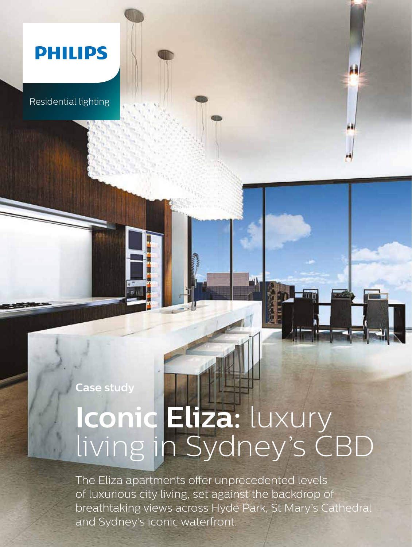## **PHILIPS**

Residential lighting

**Case study**

# **Iconic Eliza:** luxury living in Sydney's CBD

The Eliza apartments offer unprecedented levels of luxurious city living, set against the backdrop of breathtaking views across Hyde Park, St Mary's Cathedral and Sydney's iconic waterfront.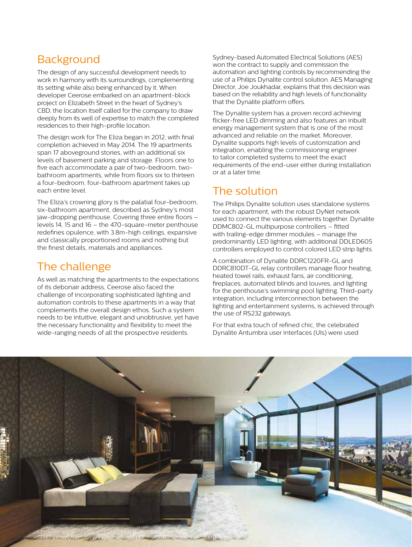## Background

The design of any successful development needs to work in harmony with its surroundings, complementing its setting while also being enhanced by it. When developer Ceerose embarked on an apartment-block project on Elizabeth Street in the heart of Sydney's CBD, the location itself called for the company to draw deeply from its well of expertise to match the completed residences to their high-profile location.

The design work for The Eliza began in 2012, with final completion achieved in May 2014. The 19 apartments span 17 aboveground stories, with an additional six levels of basement parking and storage. Floors one to five each accommodate a pair of two-bedroom, twobathroom apartments, while from floors six to thirteen a four-bedroom, four-bathroom apartment takes up each entire level.

The Eliza's crowning glory is the palatial four-bedroom, six-bathroom apartment, described as Sydney's most jaw-dropping penthouse. Covering three entire floors – levels 14, 15 and 16 – the 470-square-meter penthouse redefines opulence, with 3.8m-high ceilings, expansive and classically proportioned rooms and nothing but the finest details, materials and appliances.

## The challenge

As well as matching the apartments to the expectations of its debonair address, Ceerose also faced the challenge of incorporating sophisticated lighting and automation controls to these apartments in a way that complements the overall design ethos. Such a system needs to be intuitive, elegant and unobtrusive, yet have the necessary functionality and flexibility to meet the wide-ranging needs of all the prospective residents.

Sydney-based Automated Electrical Solutions (AES) won the contract to supply and commission the automation and lighting controls by recommending the use of a Philips Dynalite control solution. AES Managing Director, Joe Joukhadar, explains that this decision was based on the reliability and high levels of functionality that the Dynalite platform offers.

The Dynalite system has a proven record achieving flicker-free LED dimming and also features an inbuilt energy management system that is one of the most advanced and reliable on the market. Moreover, Dynalite supports high levels of customization and integration, enabling the commissioning engineer to tailor completed systems to meet the exact requirements of the end-user either during installation or at a later time.

## The solution

The Philips Dynalite solution uses standalone systems for each apartment, with the robust DyNet network used to connect the various elements together. Dynalite DDMC802-GL multipurpose controllers – fitted with trailing-edge dimmer modules – manage the predominantly LED lighting, with additional DDLED605 controllers employed to control colored LED strip lights.

A combination of Dynalite DDRC1220FR-GL and DDRC810DT-GL relay controllers manage floor heating, heated towel rails, exhaust fans, air conditioning, fireplaces, automated blinds and louvres, and lighting for the penthouse's swimming pool lighting. Third-party integration, including interconnection between the lighting and entertainment systems, is achieved through the use of RS232 gateways.

For that extra touch of refined chic, the celebrated Dynalite Antumbra user interfaces (UIs) were used

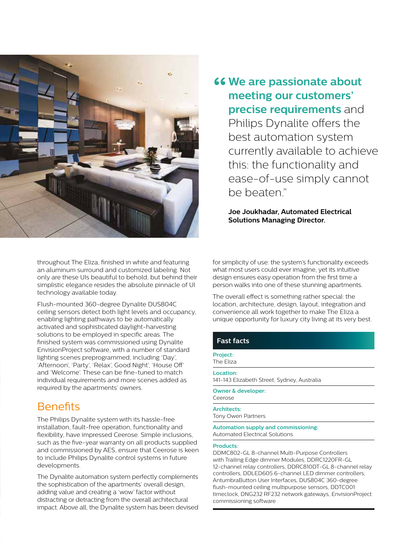

throughout The Eliza, finished in white and featuring an aluminum surround and customized labeling. Not only are these UIs beautiful to behold, but behind their simplistic elegance resides the absolute pinnacle of UI technology available today.

Flush-mounted 360-degree Dynalite DUS804C ceiling sensors detect both light levels and occupancy, enabling lighting pathways to be automatically activated and sophisticated daylight-harvesting solutions to be employed in specific areas. The finished system was commissioned using Dynalite EnvisionProject software, with a number of standard lighting scenes preprogrammed, including 'Day', 'Afternoon', 'Party', 'Relax', Good Night', 'House Off' and 'Welcome'. These can be fine-tuned to match individual requirements and more scenes added as required by the apartments' owners.

### **Benefits**

The Philips Dynalite system with its hassle-free installation, fault-free operation, functionality and flexibility, have impressed Ceerose. Simple inclusions, such as the five-year warranty on all products supplied and commissioned by AES, ensure that Ceerose is keen to include Philips Dynalite control systems in future developments.

The Dynalite automation system perfectly complements the sophistication of the apartments' overall design, adding value and creating a 'wow' factor without distracting or detracting from the overall architectural impact. Above all, the Dynalite system has been devised

## **"We are passionate about meeting our customers' precise requirements** and Philips Dynalite offers the best automation system currently available to achieve this: the functionality and ease-of-use simply cannot be beaten."

**Joe Joukhadar, Automated Electrical Solutions Managing Director.**

for simplicity of use: the system's functionality exceeds what most users could ever imagine, yet its intuitive design ensures easy operation from the first time a person walks into one of these stunning apartments.

The overall effect is something rather special: the location, architecture, design, layout, integration and convenience all work together to make The Eliza a unique opportunity for luxury city living at its very best.

#### **Fast facts**

#### **Project:**

The Eliza

#### **Location:**

141-143 Elizabeth Street, Sydney, Australia

**Owner & developer:** Ceerose

**Architects:**

Tony Owen Partners

**Automation supply and commissioning:** Automated Electrical Solutions

#### **Products:**

DDMC802-GL 8-channel Multi-Purpose Controllers with Trailing Edge dimmer Modules, DDRC1220FR-GL 12-channel relay controllers, DDRC810DT-GL 8-channel relay controllers, DDLED605 6-channel LED dimmer controllers, AntumbraButton User Interfaces, DUS804C 360-degree flush-mounted ceiling multipurpose sensors, DDTC001 timeclock, DNG232 RF232 network gateways, EnvisionProject commissioning software